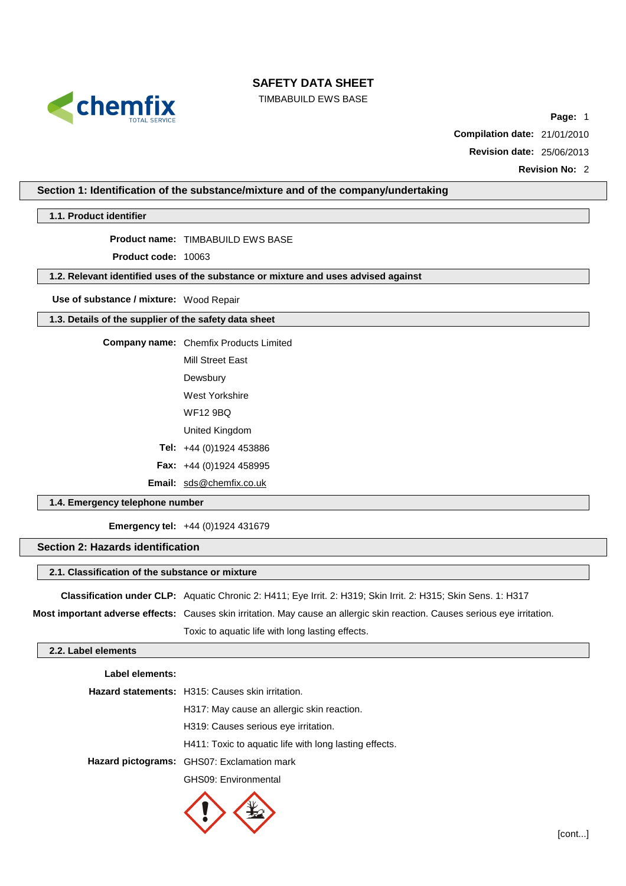

TIMBABUILD EWS BASE

**Page:** 1

**Compilation date:** 21/01/2010

**Revision date:** 25/06/2013

**Revision No:** 2

## **Section 1: Identification of the substance/mixture and of the company/undertaking**

**1.1. Product identifier**

**Product name:** TIMBABUILD EWS BASE

**Product code:** 10063

## **1.2. Relevant identified uses of the substance or mixture and uses advised against**

**Use of substance / mixture:** Wood Repair

### **1.3. Details of the supplier of the safety data sheet**

**Company name:** Chemfix Products Limited

Mill Street East

Dewsbury

West Yorkshire

WF12 9BQ

United Kingdom

**Tel:** +44 (0)1924 453886

**Fax:** +44 (0)1924 458995

**Email:** [sds@chemfix.co.uk](mailto:sds@chemfix.co.uk)

## **1.4. Emergency telephone number**

**Emergency tel:** +44 (0)1924 431679

## **Section 2: Hazards identification**

### **2.1. Classification of the substance or mixture**

**Classification under CLP:** Aquatic Chronic 2: H411; Eye Irrit. 2: H319; Skin Irrit. 2: H315; Skin Sens. 1: H317

**Most important adverse effects:** Causes skin irritation. May cause an allergic skin reaction. Causes serious eye irritation.

Toxic to aquatic life with long lasting effects.

## **2.2. Label elements**

| Label elements: |                                                         |
|-----------------|---------------------------------------------------------|
|                 | <b>Hazard statements:</b> H315: Causes skin irritation. |
|                 | H317: May cause an allergic skin reaction.              |
|                 | H319: Causes serious eye irritation.                    |
|                 | H411: Toxic to aguatic life with long lasting effects.  |
|                 | Hazard pictograms: GHS07: Exclamation mark              |
|                 | GHS09: Environmental                                    |
|                 |                                                         |

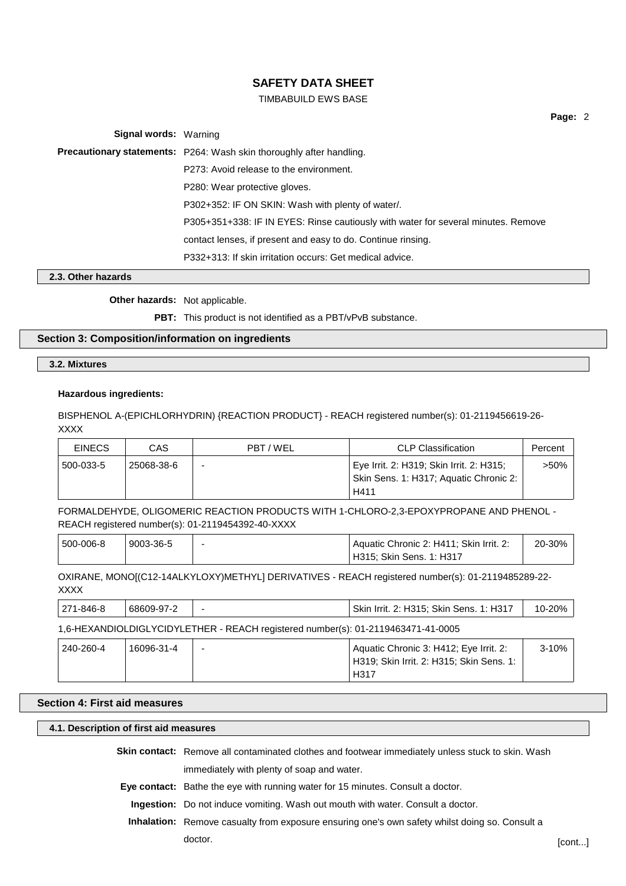## TIMBABUILD EWS BASE

**Page:** 2

**Signal words:** Warning **Precautionary statements:** P264: Wash skin thoroughly after handling. P273: Avoid release to the environment. P280: Wear protective gloves. P302+352: IF ON SKIN: Wash with plenty of water/. P305+351+338: IF IN EYES: Rinse cautiously with water for several minutes. Remove contact lenses, if present and easy to do. Continue rinsing. P332+313: If skin irritation occurs: Get medical advice.

## **2.3. Other hazards**

**Other hazards:** Not applicable.

**PBT:** This product is not identified as a PBT/vPvB substance.

#### **Section 3: Composition/information on ingredients**

**3.2. Mixtures**

#### **Hazardous ingredients:**

BISPHENOL A-(EPICHLORHYDRIN) {REACTION PRODUCT} - REACH registered number(s): 01-2119456619-26- XXXX

| <b>EINECS</b> | CAS        | PBT / WEL | <b>CLP Classification</b>                                                          | Percent |
|---------------|------------|-----------|------------------------------------------------------------------------------------|---------|
| 500-033-5     | 25068-38-6 | -         | Eye Irrit. 2: H319; Skin Irrit. 2: H315;<br>Skin Sens. 1: H317; Aquatic Chronic 2: | >50%    |
|               |            |           | H411                                                                               |         |

FORMALDEHYDE, OLIGOMERIC REACTION PRODUCTS WITH 1-CHLORO-2,3-EPOXYPROPANE AND PHENOL - REACH registered number(s): 01-2119454392-40-XXXX

| 500-006-8 | 9003-36-5 | Aquatic Chronic 2: H411; Skin Irrit. 2: | 20-30% |
|-----------|-----------|-----------------------------------------|--------|
|           |           | H315: Skin Sens. 1: H317                |        |

OXIRANE, MONO[(C12-14ALKYLOXY)METHYL] DERIVATIVES - REACH registered number(s): 01-2119485289-22- XXXX

| 271-846-8 | 68609-97-2                                                                       |  | Skin Irrit. 2: H315; Skin Sens. 1: H317                                                                | $10 - 20%$ |  |  |
|-----------|----------------------------------------------------------------------------------|--|--------------------------------------------------------------------------------------------------------|------------|--|--|
|           | 1,6-HEXANDIOLDIGLYCIDYLETHER - REACH registered number(s): 01-2119463471-41-0005 |  |                                                                                                        |            |  |  |
| 240-260-4 | 16096-31-4                                                                       |  | Aquatic Chronic 3: H412; Eye Irrit. 2:<br>H319; Skin Irrit. 2: H315; Skin Sens. 1:<br>H <sub>317</sub> | $3 - 10%$  |  |  |

## **Section 4: First aid measures**

## **4.1. Description of first aid measures**

**Skin contact:** Remove all contaminated clothes and footwear immediately unless stuck to skin. Wash immediately with plenty of soap and water.

**Eye contact:** Bathe the eye with running water for 15 minutes. Consult a doctor.

**Ingestion:** Do not induce vomiting. Wash out mouth with water. Consult a doctor.

**Inhalation:** Remove casualty from exposure ensuring one's own safety whilst doing so. Consult a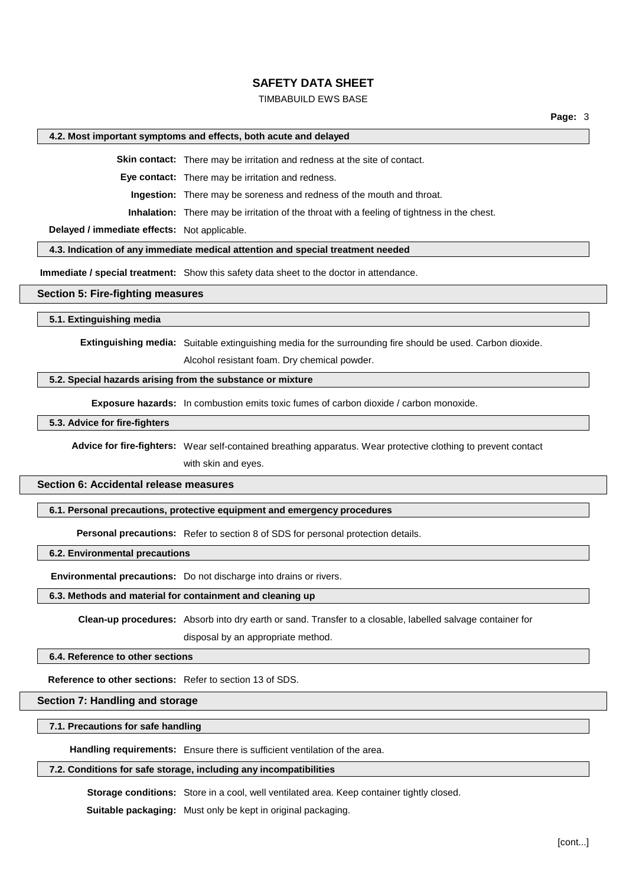#### TIMBABUILD EWS BASE

#### **4.2. Most important symptoms and effects, both acute and delayed**

**Skin contact:** There may be irritation and redness at the site of contact.

**Eye contact:** There may be irritation and redness.

**Ingestion:** There may be soreness and redness of the mouth and throat.

**Inhalation:** There may be irritation of the throat with a feeling of tightness in the chest.

**Delayed / immediate effects:** Not applicable.

#### **4.3. Indication of any immediate medical attention and special treatment needed**

**Immediate / special treatment:** Show this safety data sheet to the doctor in attendance.

#### **Section 5: Fire-fighting measures**

#### **5.1. Extinguishing media**

**Extinguishing media:** Suitable extinguishing media for the surrounding fire should be used. Carbon dioxide.

Alcohol resistant foam. Dry chemical powder.

#### **5.2. Special hazards arising from the substance or mixture**

**Exposure hazards:** In combustion emits toxic fumes of carbon dioxide / carbon monoxide.

**5.3. Advice for fire-fighters**

**Advice for fire-fighters:** Wear self-contained breathing apparatus. Wear protective clothing to prevent contact with skin and eyes.

#### **Section 6: Accidental release measures**

**6.1. Personal precautions, protective equipment and emergency procedures**

**Personal precautions:** Refer to section 8 of SDS for personal protection details.

**6.2. Environmental precautions**

**Environmental precautions:** Do not discharge into drains or rivers.

#### **6.3. Methods and material for containment and cleaning up**

**Clean-up procedures:** Absorb into dry earth or sand. Transfer to a closable, labelled salvage container for

disposal by an appropriate method.

#### **6.4. Reference to other sections**

**Reference to other sections:** Refer to section 13 of SDS.

## **Section 7: Handling and storage**

#### **7.1. Precautions for safe handling**

**Handling requirements:** Ensure there is sufficient ventilation of the area.

## **7.2. Conditions for safe storage, including any incompatibilities**

**Storage conditions:** Store in a cool, well ventilated area. Keep container tightly closed.

**Suitable packaging:** Must only be kept in original packaging.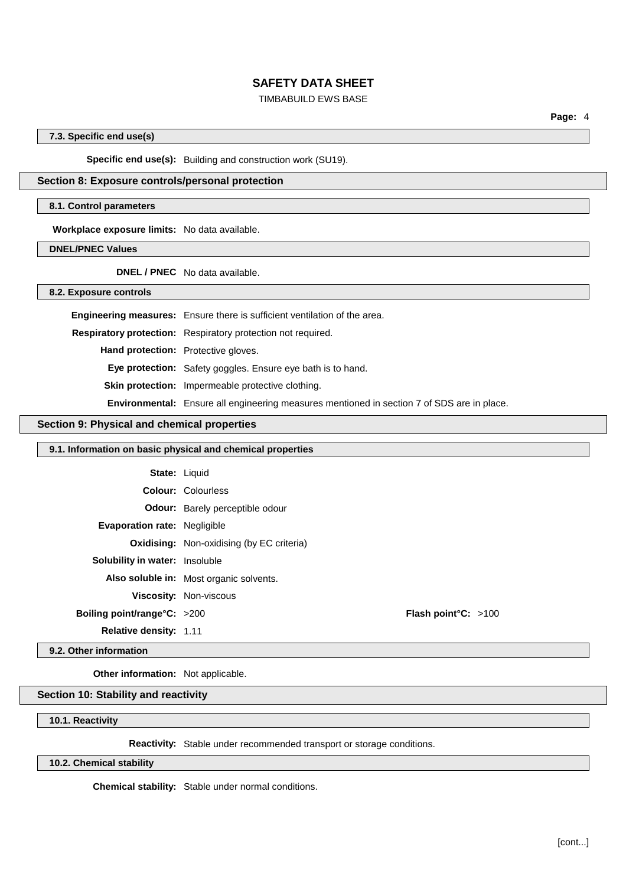## TIMBABUILD EWS BASE

**Page:** 4

## **7.3. Specific end use(s)**

**Specific end use(s):** Building and construction work (SU19).

## **Section 8: Exposure controls/personal protection**

#### **8.1. Control parameters**

**Workplace exposure limits:** No data available.

**DNEL/PNEC Values**

**DNEL / PNEC** No data available.

**8.2. Exposure controls**

|                                            | <b>Engineering measures:</b> Ensure there is sufficient ventilation of the area.                  |
|--------------------------------------------|---------------------------------------------------------------------------------------------------|
|                                            | Respiratory protection: Respiratory protection not required.                                      |
| <b>Hand protection:</b> Protective gloves. |                                                                                                   |
|                                            | Eye protection: Safety goggles. Ensure eye bath is to hand.                                       |
|                                            | <b>Skin protection:</b> Impermeable protective clothing.                                          |
|                                            | <b>Environmental:</b> Ensure all engineering measures mentioned in section 7 of SDS are in place. |

## **Section 9: Physical and chemical properties**

#### **9.1. Information on basic physical and chemical properties**

|                                       | <b>State: Liquid</b>                             |                               |  |
|---------------------------------------|--------------------------------------------------|-------------------------------|--|
|                                       | <b>Colour: Colourless</b>                        |                               |  |
|                                       | <b>Odour:</b> Barely perceptible odour           |                               |  |
| <b>Evaporation rate: Negligible</b>   |                                                  |                               |  |
|                                       | <b>Oxidising:</b> Non-oxidising (by EC criteria) |                               |  |
| <b>Solubility in water:</b> Insoluble |                                                  |                               |  |
|                                       | Also soluble in: Most organic solvents.          |                               |  |
|                                       | Viscosity: Non-viscous                           |                               |  |
| Boiling point/range°C: >200           |                                                  | <b>Flash point °C:</b> $>100$ |  |
| <b>Relative density: 1.11</b>         |                                                  |                               |  |

## **9.2. Other information**

**Other information:** Not applicable.

**Section 10: Stability and reactivity**

**10.1. Reactivity**

**Reactivity:** Stable under recommended transport or storage conditions.

#### **10.2. Chemical stability**

**Chemical stability:** Stable under normal conditions.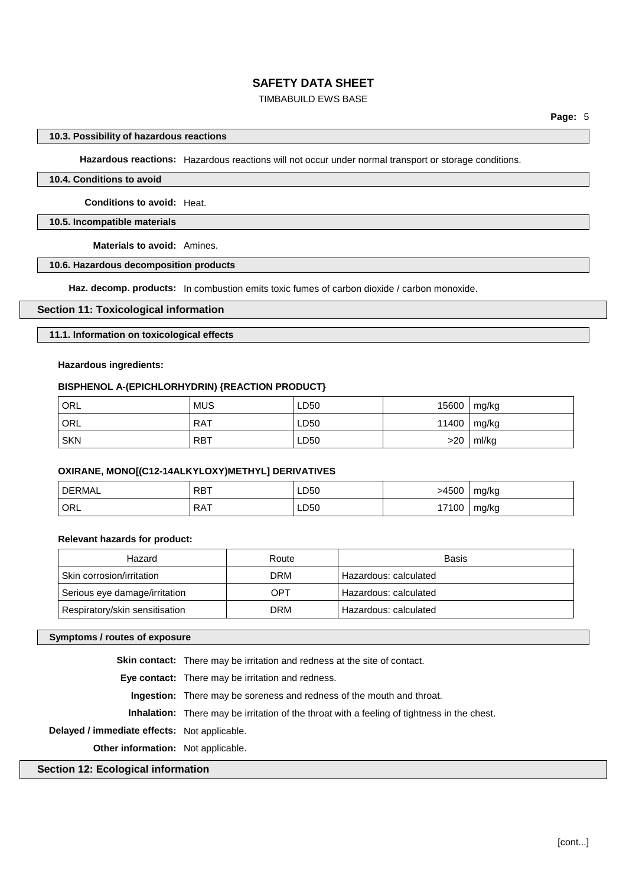## TIMBABUILD EWS BASE

#### **10.3. Possibility of hazardous reactions**

**Hazardous reactions:** Hazardous reactions will not occur under normal transport or storage conditions.

#### **10.4. Conditions to avoid**

**Conditions to avoid:** Heat.

#### **10.5. Incompatible materials**

**Materials to avoid:** Amines.

## **10.6. Hazardous decomposition products**

**Haz. decomp. products:** In combustion emits toxic fumes of carbon dioxide / carbon monoxide.

#### **Section 11: Toxicological information**

## **11.1. Information on toxicological effects**

## **Hazardous ingredients:**

## **BISPHENOL A-(EPICHLORHYDRIN) {REACTION PRODUCT}**

| ORL        | <b>MUS</b> | LD50 | 15600         | mg/kg |
|------------|------------|------|---------------|-------|
| ORL        | . RAT      | LD50 | 11400   mg/kg |       |
| <b>SKN</b> | <b>RBT</b> | LD50 | >20           | ml/kg |

## **OXIRANE, MONO[(C12-14ALKYLOXY)METHYL] DERIVATIVES**

| <b>DERMAL</b> | <b>RBT</b> | ∟D50 | >4500 | mg/kg |
|---------------|------------|------|-------|-------|
| ORL           | RAT<br>.   | LD50 | 17100 | mg/kg |

#### **Relevant hazards for product:**

| Hazard                         | Route      | <b>Basis</b>          |
|--------------------------------|------------|-----------------------|
| Skin corrosion/irritation      | <b>DRM</b> | Hazardous: calculated |
| Serious eye damage/irritation  | OPT        | Hazardous: calculated |
| Respiratory/skin sensitisation | <b>DRM</b> | Hazardous: calculated |

#### **Symptoms / routes of exposure**

**Skin contact:** There may be irritation and redness at the site of contact.

**Eye contact:** There may be irritation and redness.

**Ingestion:** There may be soreness and redness of the mouth and throat.

**Inhalation:** There may be irritation of the throat with a feeling of tightness in the chest.

**Delayed / immediate effects:** Not applicable.

**Other information:** Not applicable.

# **Section 12: Ecological information**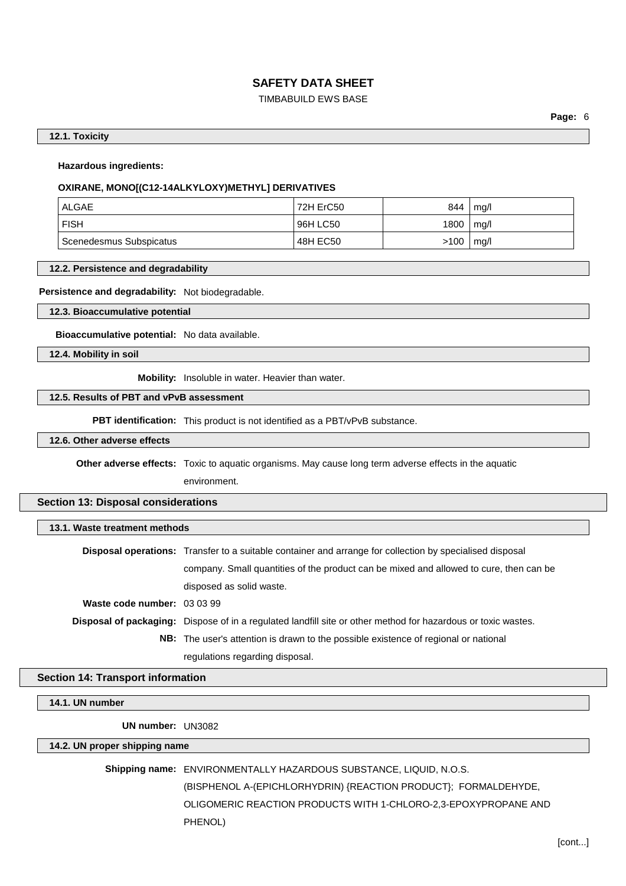## TIMBABUILD EWS BASE

**Page:** 6

#### **12.1. Toxicity**

**Hazardous ingredients:**

# **OXIRANE, MONO[(C12-14ALKYLOXY)METHYL] DERIVATIVES**

| ALGAE                   | 72H ErC50 | 844  | mq/l |
|-------------------------|-----------|------|------|
| ∣ FISH                  | 96H LC50  | 1800 | mq/l |
| Scenedesmus Subspicatus | 48H EC50  | >100 | mq/l |

#### **12.2. Persistence and degradability**

**Persistence and degradability:** Not biodegradable.

**12.3. Bioaccumulative potential**

**Bioaccumulative potential:** No data available.

**12.4. Mobility in soil**

**Mobility:** Insoluble in water. Heavier than water.

## **12.5. Results of PBT and vPvB assessment**

**PBT identification:** This product is not identified as a PBT/vPvB substance.

**12.6. Other adverse effects**

**Other adverse effects:** Toxic to aquatic organisms. May cause long term adverse effects in the aquatic environment.

#### **Section 13: Disposal considerations**

| 13.1. Waste treatment methods |                                                                                                                 |  |
|-------------------------------|-----------------------------------------------------------------------------------------------------------------|--|
|                               | <b>Disposal operations:</b> Transfer to a suitable container and arrange for collection by specialised disposal |  |
|                               | company. Small quantities of the product can be mixed and allowed to cure, then can be                          |  |
|                               | disposed as solid waste.                                                                                        |  |
| Waste code number: 03 03 99   |                                                                                                                 |  |
|                               | Disposal of packaging: Dispose of in a regulated landfill site or other method for hazardous or toxic wastes.   |  |
|                               | <b>NB:</b> The user's attention is drawn to the possible existence of regional or national                      |  |
|                               | regulations regarding disposal.                                                                                 |  |

#### **Section 14: Transport information**

#### **14.1. UN number**

**UN number:** UN3082

#### **14.2. UN proper shipping name**

**Shipping name:** ENVIRONMENTALLY HAZARDOUS SUBSTANCE, LIQUID, N.O.S.

(BISPHENOL A-(EPICHLORHYDRIN) {REACTION PRODUCT}; FORMALDEHYDE, OLIGOMERIC REACTION PRODUCTS WITH 1-CHLORO-2,3-EPOXYPROPANE AND PHENOL)